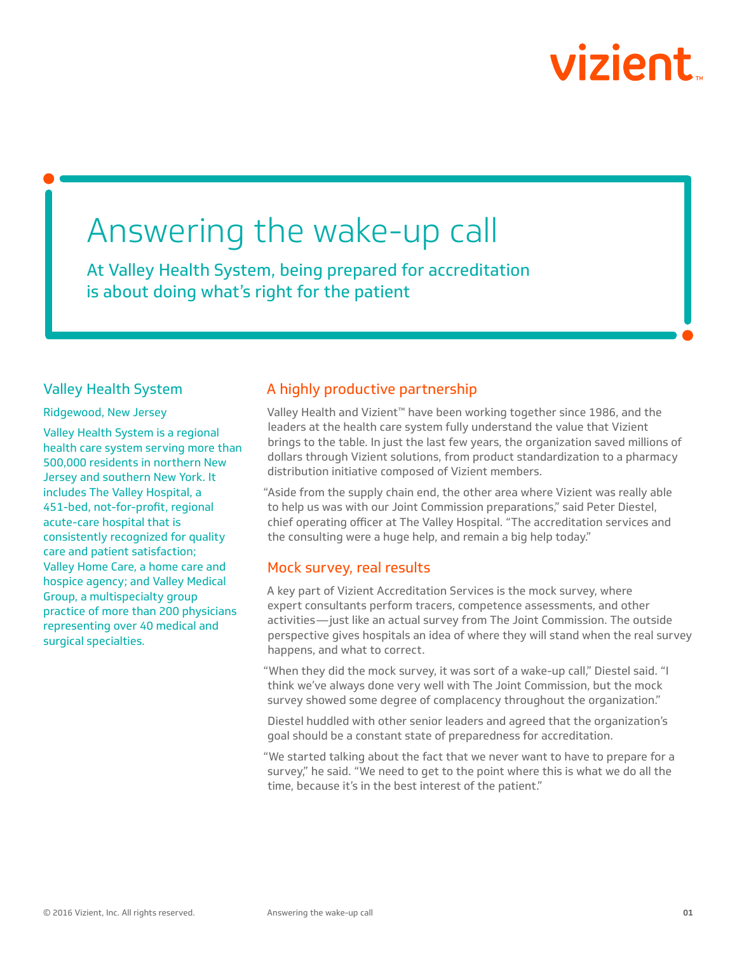# vizient

# Answering the wake-up call

At Valley Health System, being prepared for accreditation is about doing what's right for the patient

### Valley Health System

Ridgewood, New Jersey

Valley Health System is a regional health care system serving more than 500,000 residents in northern New Jersey and southern New York. It includes The Valley Hospital, a 451-bed, not-for-profit, regional acute-care hospital that is consistently recognized for quality care and patient satisfaction; Valley Home Care, a home care and hospice agency; and Valley Medical Group, a multispecialty group practice of more than 200 physicians representing over 40 medical and surgical specialties.

# A highly productive partnership

Valley Health and Vizient™ have been working together since 1986, and the leaders at the health care system fully understand the value that Vizient brings to the table. In just the last few years, the organization saved millions of dollars through Vizient solutions, from product standardization to a pharmacy distribution initiative composed of Vizient members.

"Aside from the supply chain end, the other area where Vizient was really able to help us was with our Joint Commission preparations," said Peter Diestel, chief operating officer at The Valley Hospital. "The accreditation services and the consulting were a huge help, and remain a big help today."

## Mock survey, real results

A key part of Vizient Accreditation Services is the mock survey, where expert consultants perform tracers, competence assessments, and other activities—just like an actual survey from The Joint Commission. The outside perspective gives hospitals an idea of where they will stand when the real survey happens, and what to correct.

"When they did the mock survey, it was sort of a wake-up call," Diestel said. "I think we've always done very well with The Joint Commission, but the mock survey showed some degree of complacency throughout the organization."

Diestel huddled with other senior leaders and agreed that the organization's goal should be a constant state of preparedness for accreditation.

"We started talking about the fact that we never want to have to prepare for a survey," he said. "We need to get to the point where this is what we do all the time, because it's in the best interest of the patient."